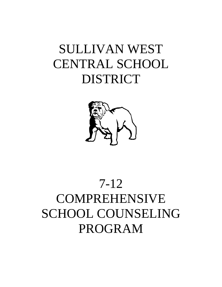## SULLIVAN WEST CENTRAL SCHOOL DISTRICT



# 7-12 COMPREHENSIVE SCHOOL COUNSELING PROGRAM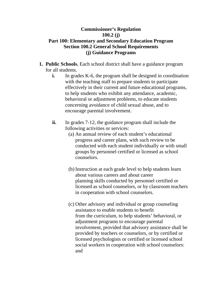## **Commissioner's Regulation 100.2 (j) Part 100: Elementary and Secondary Education Program Section 100.2 General School Requirements (j) Guidance Programs**

- **1. Public Schools.** Each school district shall have a guidance program for all students.
	- **i.** In grades K-6, the program shall be designed in coordination with the teaching staff to prepare students to participate effectively in their current and future educational programs, to help students who exhibit any attendance, academic, behavioral or adjustment problems, to educate students concerning avoidance of child sexual abuse, and to encourage parental involvement.
	- **ii.** In grades 7-12, the guidance program shall include the following activities or services:
		- (a) An annual review of each student's educational progress and career plans, with such review to be conducted with each student individually or with small groups by personnel certified or licensed as school counselors.
		- (b) Instruction at each grade level to help students learn about various careers and about career planning skills conducted by personnel certified or licensed as school counselors, or by classroom teachers in cooperation with school counselors.
		- (c) Other advisory and individual or group counseling assistance to enable students to benefit from the curriculum, to help students' behavioral, or adjustment programs to encourage parental involvement, provided that advisory assistance shall be provided by teachers or counselors, or by certified or licensed psychologists or certified or licensed school social workers in cooperation with school counselors: and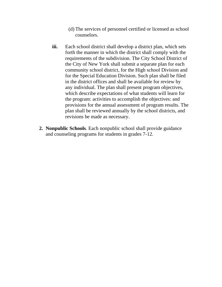- (d) The services of personnel certified or licensed as school counselors.
- iii. Each school district shall develop a district plan, which sets forth the manner in which the district shall comply with the requirements of the subdivision. The City School District of the City of New York shall submit a separate plan for each community school district, for the High school Division and for the Special Education Division. Such plan shall be filed in the district offices and shall be available for review by any individual. The plan shall present program objectives, which describe expectations of what students will learn for the program: activities to accomplish the objectives: and provisions for the annual assessment of program results. The plan shall be reviewed annually by the school districts, and revisions be made as necessary.
- **2. Nonpublic Schools**. Each nonpublic school shall provide guidance and counseling programs for students in grades 7-12.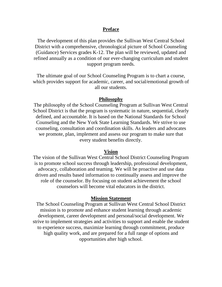#### **Preface**

The development of this plan provides the Sullivan West Central School District with a comprehensive, chronological picture of School Counseling (Guidance) Services grades K-12. The plan will be reviewed, updated and refined annually as a condition of our ever-changing curriculum and student support program needs.

The ultimate goal of our School Counseling Program is to chart a course, which provides support for academic, career, and social/emotional growth of all our students.

#### **Philosophy**

The philosophy of the School Counseling Program at Sullivan West Central School District is that the program is systematic in nature, sequential, clearly defined, and accountable. It is based on the National Standards for School Counseling and the New York State Learning Standards. We strive to use counseling, consultation and coordination skills. As leaders and advocates we promote, plan, implement and assess our program to make sure that every student benefits directly.

#### **Vision**

The vision of the Sullivan West Central School District Counseling Program is to promote school success through leadership, professional development, advocacy, collaboration and teaming. We will be proactive and use data driven and results based information to continually assess and improve the role of the counselor. By focusing on student achievement the school counselors will become vital educators in the district.

#### **Mission Statement**

The School Counseling Program at Sullivan West Central School District mission is to promote and enhance student learning through academic development, career development and personal/social development. We strive to implement strategies and activities to support and enable the student to experience success, maximize learning through commitment, produce high quality work, and are prepared for a full range of options and opportunities after high school.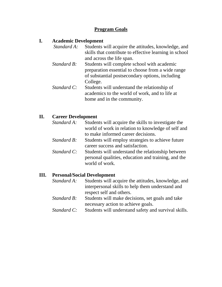### **Program Goals**

#### **I. Academic Development**

- *Standard A:* Students will acquire the attitudes, knowledge, and skills that contribute to effective learning in school and across the life span.
- *Standard B:* Students will complete school with academic preparation essential to choose from a wide range of substantial postsecondary options, including College.
- *Standard C:* Students will understand the relationship of academics to the world of work, and to life at home and in the community.

#### **II. Career Development**

*Standard A:* Students will acquire the skills to investigate the world of work in relation to knowledge of self and to make informed career decisions. *Standard B:* Students will employ strategies to achieve future career success and satisfaction. *Standard C:* Students will understand the relationship between personal qualities, education and training, and the world of work.

#### **III. Personal/Social Development**

- *Standard A:* Students will acquire the attitudes, knowledge, and interpersonal skills to help them understand and respect self and others.
- *Standard B:* Students will make decisions, set goals and take necessary action to achieve goals.
- *Standard C:* Students will understand safety and survival skills.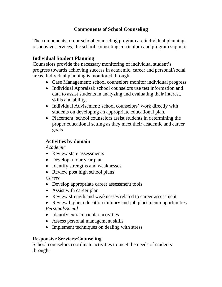## **Components of School Counseling**

The components of our school counseling program are individual planning, responsive services, the school counseling curriculum and program support.

## **Individual Student Planning**

Counselors provide the necessary monitoring of individual student's progress towards achieving success in academic, career and personal/social areas. Individual planning is monitored through:

- Case Management: school counselors monitor individual progress.
- Individual Appraisal: school counselors use test information and data to assist students in analyzing and evaluating their interest, skills and ability.
- Individual Advisement: school counselors' work directly with students on developing an appropriate educational plan.
- Placement: school counselors assist students in determining the proper educational setting as they meet their academic and career goals

## **Activities by domain**

*Academic*

- Review state assessments
- Develop a four year plan
- Identify strengths and weaknesses
- Review post high school plans

*Career*

- Develop appropriate career assessment tools
- Assist with career plan
- Review strength and weaknesses related to career assessment
- Review higher education military and job placement opportunities

*Personal/Social*

- Identify extracurricular activities
- Assess personal management skills
- Implement techniques on dealing with stress

## **Responsive Services/Counseling**

School counselors coordinate activities to meet the needs of students through: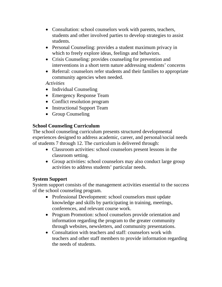- Consultation: school counselors work with parents, teachers, students and other involved parties to develop strategies to assist students.
- Personal Counseling: provides a student maximum privacy in which to freely explore ideas, feelings and behaviors.
- Crisis Counseling: provides counseling for prevention and interventions in a short term nature addressing students' concerns
- Referral: counselors refer students and their families to appropriate community agencies when needed.

*Activities*

- Individual Counseling
- Emergency Response Team
- Conflict resolution program
- Instructional Support Team
- Group Counseling

## **School Counseling Curriculum**

The school counseling curriculum presents structured developmental experiences designed to address academic, career, and personal/social needs of students 7 through 12. The curriculum is delivered through:

- Classroom activities: school counselors present lessons in the classroom setting.
- Group activities: school counselors may also conduct large group activities to address students' particular needs.

## **System Support**

System support consists of the management activities essential to the success of the school counseling program.

- Professional Development: school counselors must update knowledge and skills by participating in training, meetings, conferences, and relevant course work.
- Program Promotion: school counselors provide orientation and information regarding the program to the greater community through websites, newsletters, and community presentations.
- Consultation with teachers and staff: counselors work with teachers and other staff members to provide information regarding the needs of students.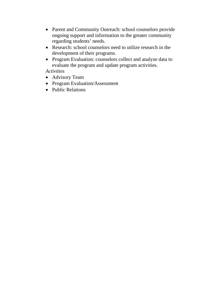- Parent and Community Outreach: school counselors provide ongoing support and information to the greater community regarding students' needs.
- Research: school counselors need to utilize research in the development of their programs.
- Program Evaluation: counselors collect and analyze data to evaluate the program and update program activities.

*Activities*

- Advisory Team
- Program Evaluation/Assessment
- Public Relations